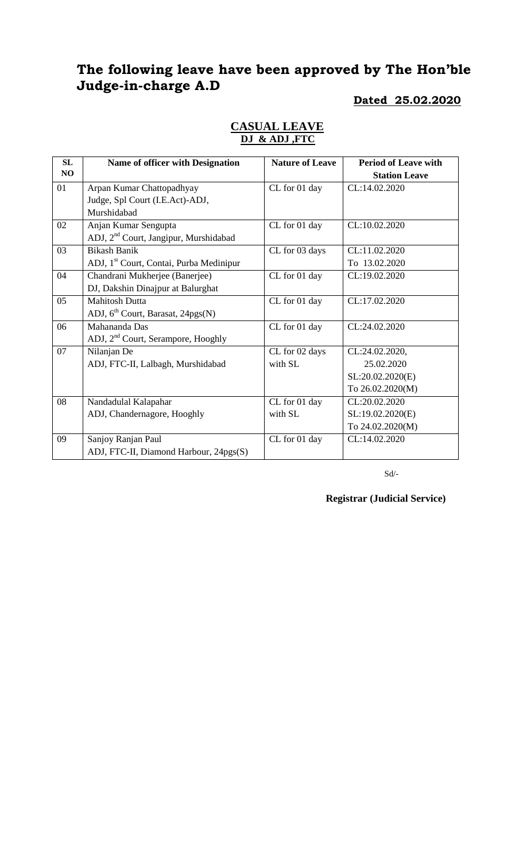# **The following leave have been approved by The Hon'ble Judge-in-charge A.D**

### **Dated 25.02.2020**

| <b>SL</b>      | Name of officer with Designation                    | <b>Nature of Leave</b> | <b>Period of Leave with</b> |
|----------------|-----------------------------------------------------|------------------------|-----------------------------|
| N <sub>O</sub> |                                                     |                        | <b>Station Leave</b>        |
| 01             | Arpan Kumar Chattopadhyay                           | CL for 01 day          | CL:14.02.2020               |
|                | Judge, Spl Court (I.E.Act)-ADJ,                     |                        |                             |
|                | Murshidabad                                         |                        |                             |
| 02             | Anjan Kumar Sengupta                                | CL for 01 day          | CL:10.02.2020               |
|                | ADJ, 2 <sup>nd</sup> Court, Jangipur, Murshidabad   |                        |                             |
| 03             | <b>Bikash Banik</b>                                 | CL for 03 days         | CL:11.02.2020               |
|                | ADJ, 1 <sup>st</sup> Court, Contai, Purba Medinipur |                        | To 13.02.2020               |
| 04             | Chandrani Mukherjee (Banerjee)                      | CL for 01 day          | CL:19.02.2020               |
|                | DJ, Dakshin Dinajpur at Balurghat                   |                        |                             |
| 05             | <b>Mahitosh Dutta</b>                               | CL for 01 day          | CL:17.02.2020               |
|                | ADJ, $6th$ Court, Barasat, 24pgs(N)                 |                        |                             |
| 06             | Mahananda Das                                       | CL for 01 day          | CL:24.02.2020               |
|                | ADJ, 2 <sup>nd</sup> Court, Serampore, Hooghly      |                        |                             |
| 07             | Nilanjan De                                         | CL for 02 days         | CL:24.02.2020,              |
|                | ADJ, FTC-II, Lalbagh, Murshidabad                   | with SL                | 25.02.2020                  |
|                |                                                     |                        | SL:20.02.2020(E)            |
|                |                                                     |                        | To 26.02.2020(M)            |
| 08             | Nandadulal Kalapahar                                | CL for 01 day          | CL:20.02.2020               |
|                | ADJ, Chandernagore, Hooghly                         | with SL                | SL:19.02.2020(E)            |
|                |                                                     |                        | To 24.02.2020(M)            |
| 09             | Sanjoy Ranjan Paul                                  | CL for 01 day          | CL:14.02.2020               |
|                | ADJ, FTC-II, Diamond Harbour, 24pgs(S)              |                        |                             |

### **CASUAL LEAVE DJ & ADJ ,FTC**

 $\mbox{Sd}/\mbox{-}$ 

**Registrar (Judicial Service)**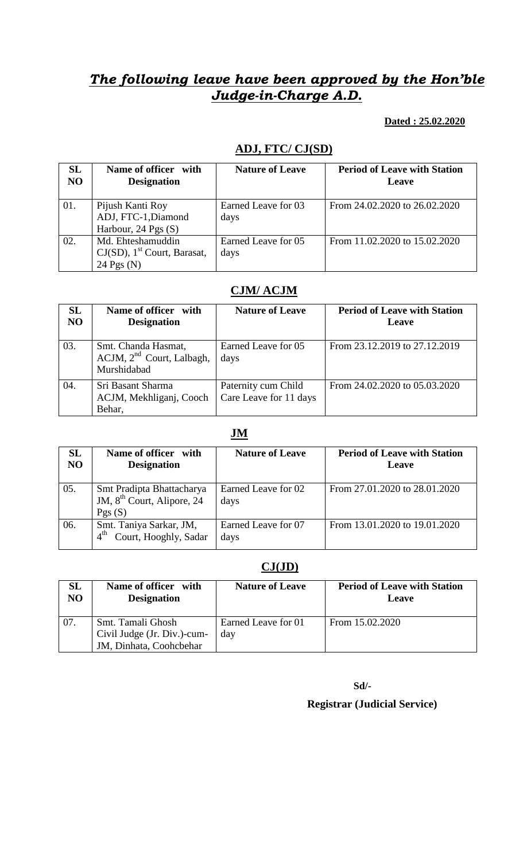# *The following leave have been approved by the Hon'ble Judge-in-Charge A.D.*

#### **Dated : 25.02.2020**

## **ADJ, FTC/ CJ(SD)**

| SL<br>N <sub>O</sub> | Name of officer with<br><b>Designation</b>                                      | <b>Nature of Leave</b>      | <b>Period of Leave with Station</b><br>Leave |
|----------------------|---------------------------------------------------------------------------------|-----------------------------|----------------------------------------------|
| 01.                  | Pijush Kanti Roy<br>ADJ, FTC-1, Diamond<br>Harbour, $24$ Pgs $(S)$              | Earned Leave for 03<br>days | From 24.02.2020 to 26.02.2020                |
| 02.                  | Md. Ehteshamuddin<br>$CJ(SD)$ , 1 <sup>st</sup> Court, Barasat,<br>24 Pgs $(N)$ | Earned Leave for 05<br>days | From 11.02.2020 to 15.02.2020                |

## **CJM/ ACJM**

| <b>SL</b><br>N <sub>O</sub> | Name of officer with<br><b>Designation</b>                           | <b>Nature of Leave</b>                        | <b>Period of Leave with Station</b><br>Leave |
|-----------------------------|----------------------------------------------------------------------|-----------------------------------------------|----------------------------------------------|
| 03.                         | Smt. Chanda Hasmat,<br>$ACJM$ , $2nd$ Court, Lalbagh,<br>Murshidabad | Earned Leave for 05<br>days                   | From 23.12.2019 to 27.12.2019                |
| 04.                         | Sri Basant Sharma<br>ACJM, Mekhliganj, Cooch<br>Behar,               | Paternity cum Child<br>Care Leave for 11 days | From 24.02.2020 to 05.03.2020                |

### **JM**

| <b>SL</b><br>N <sub>O</sub> | Name of officer with<br><b>Designation</b>                                    | <b>Nature of Leave</b>      | <b>Period of Leave with Station</b><br><b>Leave</b> |
|-----------------------------|-------------------------------------------------------------------------------|-----------------------------|-----------------------------------------------------|
| 05.                         | Smt Pradipta Bhattacharya<br>JM, 8 <sup>th</sup> Court, Alipore, 24<br>Pgs(S) | Earned Leave for 02<br>days | From 27.01.2020 to 28.01.2020                       |
| 06.                         | Smt. Taniya Sarkar, JM,<br>Court, Hooghly, Sadar<br>$4^{\text{th}}$           | Earned Leave for 07<br>days | From 13.01.2020 to 19.01.2020                       |

### **CJ(JD)**

| <b>SL</b>      | Name of officer with                                                        | <b>Nature of Leave</b>     | <b>Period of Leave with Station</b> |
|----------------|-----------------------------------------------------------------------------|----------------------------|-------------------------------------|
| N <sub>O</sub> | <b>Designation</b>                                                          |                            | Leave                               |
| 07.            | Smt. Tamali Ghosh<br>Civil Judge (Jr. Div.)-cum-<br>JM, Dinhata, Coohcbehar | Earned Leave for 01<br>day | From 15.02.2020                     |

**Sd/-**

### **Registrar (Judicial Service)**